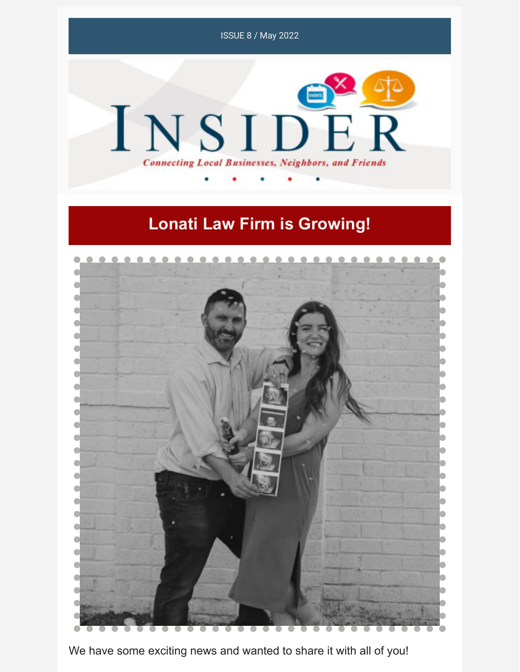

## **Lonati Law Firm is Growing!**



We have some exciting news and wanted to share it with all of you!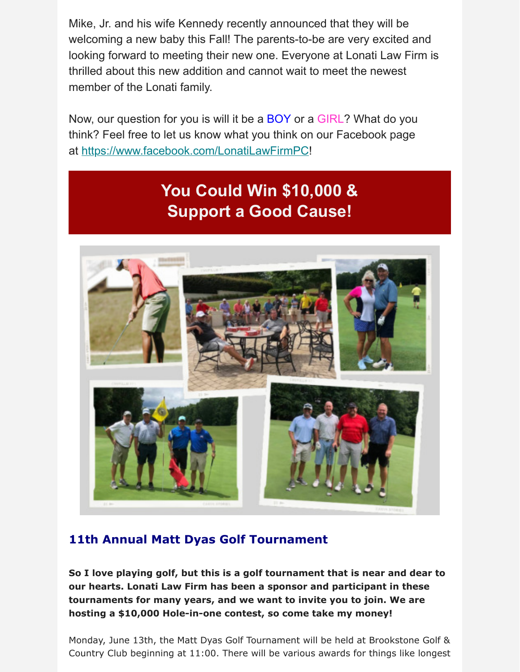Mike, Jr. and his wife Kennedy recently announced that they will be welcoming a new baby this Fall! The parents-to-be are very excited and looking forward to meeting their new one. Everyone at Lonati Law Firm is thrilled about this new addition and cannot wait to meet the newest member of the Lonati family.

Now, our question for you is will it be a BOY or a GIRL? What do you think? Feel free to let us know what you think on our Facebook page at [https://www.facebook.com/LonatiLawFirmPC!](https://www.facebook.com/LonatiLawFirmPC)

## **You Could Win \$10,000 & Support a Good Cause!**



### **11th Annual Matt Dyas Golf Tournament**

**So I love playing golf, but this is a golf tournament that is near and dear to our hearts. Lonati Law Firm has been a sponsor and participant in these tournaments for many years, and we want to invite you to join. We are hosting a \$10,000 Hole-in-one contest, so come take my money!**

Monday, June 13th, the Matt Dyas Golf Tournament will be held at Brookstone Golf & Country Club beginning at 11:00. There will be various awards for things like longest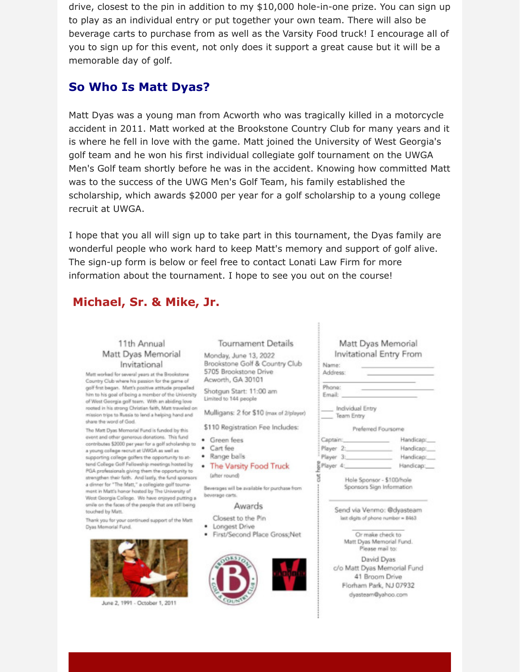drive, closest to the pin in addition to my \$10,000 hole-in-one prize. You can sign up to play as an individual entry or put together your own team. There will also be beverage carts to purchase from as well as the Varsity Food truck! I encourage all of you to sign up for this event, not only does it support a great cause but it will be a memorable day of golf.

### **So Who Is Matt Dyas?**

Matt Dyas was a young man from Acworth who was tragically killed in a motorcycle accident in 2011. Matt worked at the Brookstone Country Club for many years and it is where he fell in love with the game. Matt joined the University of West Georgia's golf team and he won his first individual collegiate golf tournament on the UWGA Men's Golf team shortly before he was in the accident. Knowing how committed Matt was to the success of the UWG Men's Golf Team, his family established the scholarship, which awards \$2000 per year for a golf scholarship to a young college recruit at UWGA.

I hope that you all will sign up to take part in this tournament, the Dyas family are wonderful people who work hard to keep Matt's memory and support of golf alive. The sign-up form is below or feel free to contact Lonati Law Firm for more information about the tournament. I hope to see you out on the course!

#### **Michael, Sr. & Mike, Jr.**

#### 11th Annual Matt Dyas Memorial Invitational

Matt worked for several years at the Brookstone Country Club where his passion for the game of golf first began. Matt's positive attitude propelled him to his goal of being a member of the University of West Georgia golf team. With an abiding love rooted in his strong Christian faith, Matt traveled on mission trips to Russia to lend a helping hand and share the word of God.

The Matt Dyas Memorial Fund is funded by this event and other generous donations. This fund contributes \$2000 per year for a golf scholarship to a young college recruit at UWCA as well as

supporting college golfers the opportunity to attend College Golf Fellowship meetings hosted by PGA professionals giving them the opportunity to strengthen their faith. And lastly, the fund sponsors a dinner for "The Matt," a collegiate golf tournament in Matt's honor hosted by The University of West Georgia College. We have enjoyed putting a smile on the faces of the people that are still being touched by Matt.

Thank you for your continued support of the Matt Dyas Memorial Fund.



June 2, 1991 - October 1, 2011

#### **Tournament Details**

Monday, June 13, 2022 Brookstone Golf & Country Club 5705 Brookstone Drive Acworth, GA 30101

Shotgun Start: 11:00 am Limited to 144 people

Mulligans: 2 for \$10 (max of 2/player)

\$110 Registration Fee Includes:

- Green fees
- · Cart fee
- · Range balls
- The Varsity Food Truck *<u>Tafter</u>* round

Beverages will be available for purchase from beverage carts.

#### Awards

- Closest to the Pin
- · Longest Drive
- · First/Second Place Gross; Net



#### Matt Dyas Memorial Invitational Entry From

|  | 카르 |  |
|--|----|--|
|  |    |  |
|  |    |  |

ã

| Phone          |  |
|----------------|--|
| <b>COLLEGE</b> |  |

Individual Entry Team Entry

Preferred Foursome

| Captain:             | Handicap: |
|----------------------|-----------|
| Player <sub>2:</sub> | Handicap: |
| Player 3:            | Handicap: |
| Player 4:            | Handicap: |

Hole Sponsor - \$100/hole Sponsors Sign Information

Send via Venmo: @dyasteam last digits of phone number = 8463

Or make check to Matt Dyas Memorial Fund. Please mail to:

David Dyas c/o Matt Dyas Memorial Fund 41 Broom Drive Florham Park, NJ 07932 dyasteam@yahoo.com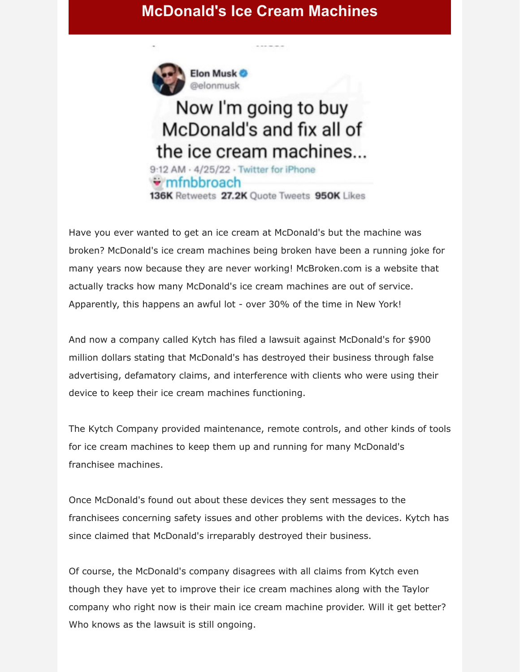### **McDonald's Ice Cream Machines**



# Now I'm going to buy McDonald's and fix all of the ice cream machines...

9:12 AM · 4/25/22 · Twitter for iPhone  $\bullet$  mfnbbroach 136K Retweets 27.2K Quote Tweets 950K Likes

Have you ever wanted to get an ice cream at McDonald's but the machine was broken? McDonald's ice cream machines being broken have been a running joke for many years now because they are never working! McBroken.com is a website that actually tracks how many McDonald's ice cream machines are out of service. Apparently, this happens an awful lot - over 30% of the time in New York!

And now a company called Kytch has filed a lawsuit against McDonald's for \$900 million dollars stating that McDonald's has destroyed their business through false advertising, defamatory claims, and interference with clients who were using their device to keep their ice cream machines functioning.

The Kytch Company provided maintenance, remote controls, and other kinds of tools for ice cream machines to keep them up and running for many McDonald's franchisee machines.

Once McDonald's found out about these devices they sent messages to the franchisees concerning safety issues and other problems with the devices. Kytch has since claimed that McDonald's irreparably destroyed their business.

Of course, the McDonald's company disagrees with all claims from Kytch even though they have yet to improve their ice cream machines along with the Taylor company who right now is their main ice cream machine provider. Will it get better? Who knows as the lawsuit is still ongoing.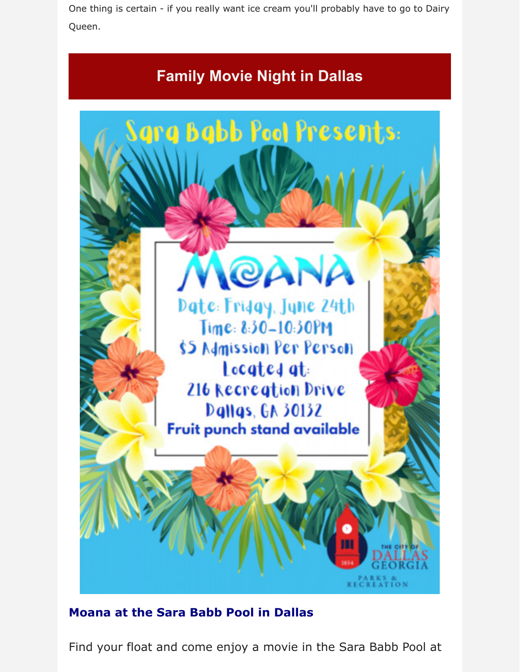One thing is certain - if you really want ice cream you'll probably have to go to Dairy Queen.



### **Moana at the Sara Babb Pool in Dallas**

Find your float and come enjoy a movie in the Sara Babb Pool at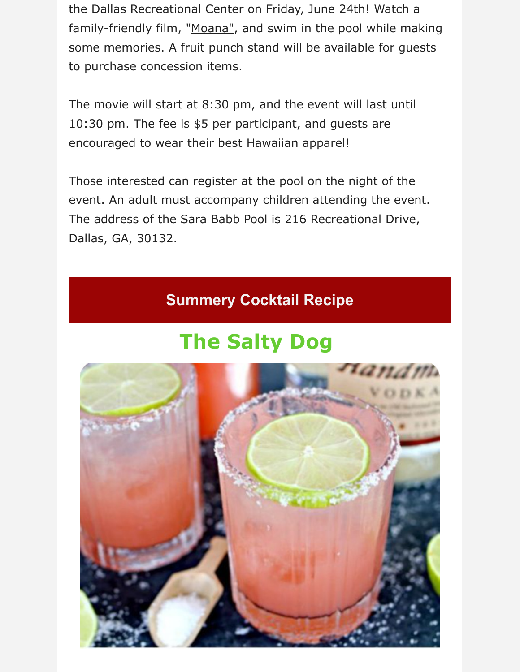the Dallas Recreational Center on Friday, June 24th! Watch a family-friendly film, "Moana", and swim in the pool while making some memories. A fruit punch stand will be available for guests to purchase concession items.

The movie will start at 8:30 pm, and the event will last until 10:30 pm. The fee is \$5 per participant, and guests are encouraged to wear their best Hawaiian apparel!

Those interested can register at the pool on the night of the event. An adult must accompany children attending the event. The address of the Sara Babb Pool is 216 Recreational Drive, Dallas, GA, 30132.

**Summery Cocktail Recipe**

# **The Salty Dog**

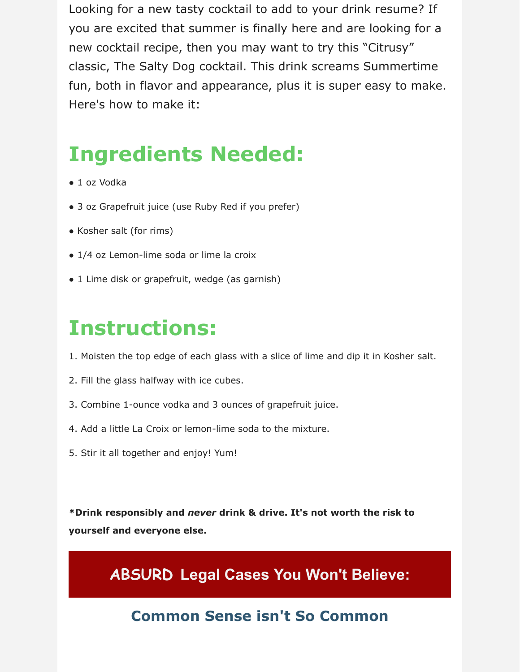Looking for a new tasty cocktail to add to your drink resume? If you are excited that summer is finally here and are looking for a new cocktail recipe, then you may want to try this "Citrusy" classic, The Salty Dog cocktail. This drink screams Summertime fun, both in flavor and appearance, plus it is super easy to make. Here's how to make it:

# **Ingredients Needed:**

- 1 oz Vodka
- 3 oz Grapefruit juice (use Ruby Red if you prefer)
- Kosher salt (for rims)
- 1/4 oz Lemon-lime soda or lime la croix
- 1 Lime disk or grapefruit, wedge (as garnish)

# **Instructions:**

- 1. Moisten the top edge of each glass with a slice of lime and dip it in Kosher salt.
- 2. Fill the glass halfway with ice cubes.
- 3. Combine 1-ounce vodka and 3 ounces of grapefruit juice.
- 4. Add a little La Croix or lemon-lime soda to the mixture.
- 5. Stir it all together and enjoy! Yum!

**\*Drink responsibly and** *never* **drink & drive. It's not worth the risk to yourself and everyone else.**

**ABSURD Legal Cases You Won't Believe:**

## **Common Sense isn't So Common**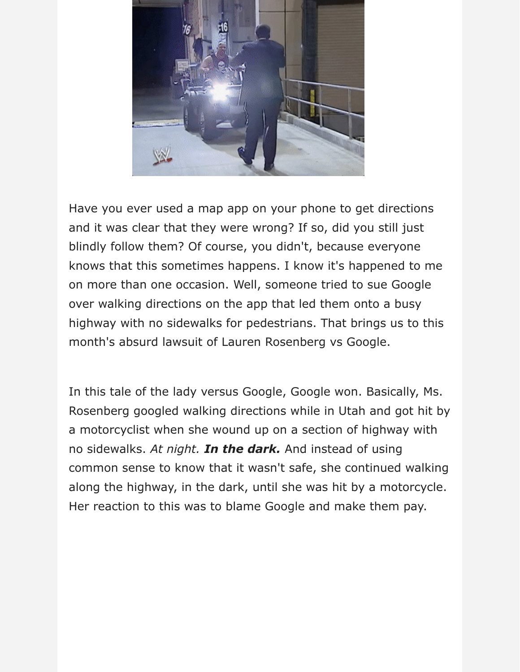

Have you ever used a map app on your phone to get directions and it was clear that they were wrong? If so, did you still just blindly follow them? Of course, you didn't, because everyone knows that this sometimes happens. I know it's happened to me on more than one occasion. Well, someone tried to sue Google over walking directions on the app that led them onto a busy highway with no sidewalks for pedestrians. That brings us to this month's absurd lawsuit of Lauren Rosenberg vs Google.

In this tale of the lady versus Google, Google won. Basically, Ms. Rosenberg googled walking directions while in Utah and got hit by a motorcyclist when she wound up on a section of highway with no sidewalks. *At night. In the dark.* And instead of using common sense to know that it wasn't safe, she continued walking along the highway, in the dark, until she was hit by a motorcycle. Her reaction to this was to blame Google and make them pay.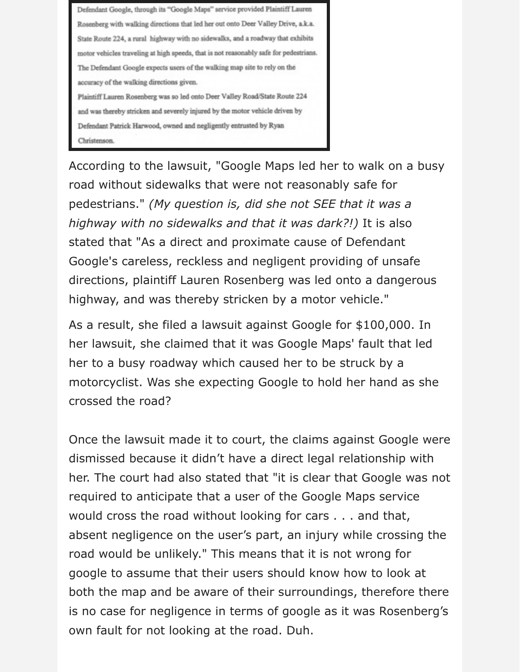

According to the lawsuit, "Google Maps led her to walk on a busy road without sidewalks that were not reasonably safe for pedestrians." *(My question is, did she not SEE that it was a highway with no sidewalks and that it was dark?!)* It is also stated that "As a direct and proximate cause of Defendant Google's careless, reckless and negligent providing of unsafe directions, plaintiff Lauren Rosenberg was led onto a dangerous highway, and was thereby stricken by a motor vehicle."

As a result, she filed a lawsuit against Google for \$100,000. In her lawsuit, she claimed that it was Google Maps' fault that led her to a busy roadway which caused her to be struck by a motorcyclist. Was she expecting Google to hold her hand as she crossed the road?

Once the lawsuit made it to court, the claims against Google were dismissed because it didn't have a direct legal relationship with her. The court had also stated that "it is clear that Google was not required to anticipate that a user of the Google Maps service would cross the road without looking for cars . . . and that, absent negligence on the user's part, an injury while crossing the road would be unlikely." This means that it is not wrong for google to assume that their users should know how to look at both the map and be aware of their surroundings, therefore there is no case for negligence in terms of google as it was Rosenberg's own fault for not looking at the road. Duh.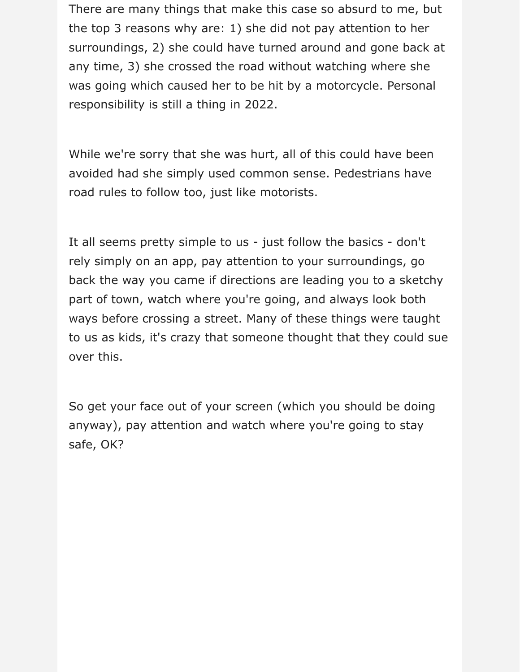There are many things that make this case so absurd to me, but the top 3 reasons why are: 1) she did not pay attention to her surroundings, 2) she could have turned around and gone back at any time, 3) she crossed the road without watching where she was going which caused her to be hit by a motorcycle. Personal responsibility is still a thing in 2022.

While we're sorry that she was hurt, all of this could have been avoided had she simply used common sense. Pedestrians have road rules to follow too, just like motorists.

It all seems pretty simple to us - just follow the basics - don't rely simply on an app, pay attention to your surroundings, go back the way you came if directions are leading you to a sketchy part of town, watch where you're going, and always look both ways before crossing a street. Many of these things were taught to us as kids, it's crazy that someone thought that they could sue over this.

So get your face out of your screen (which you should be doing anyway), pay attention and watch where you're going to stay safe, OK?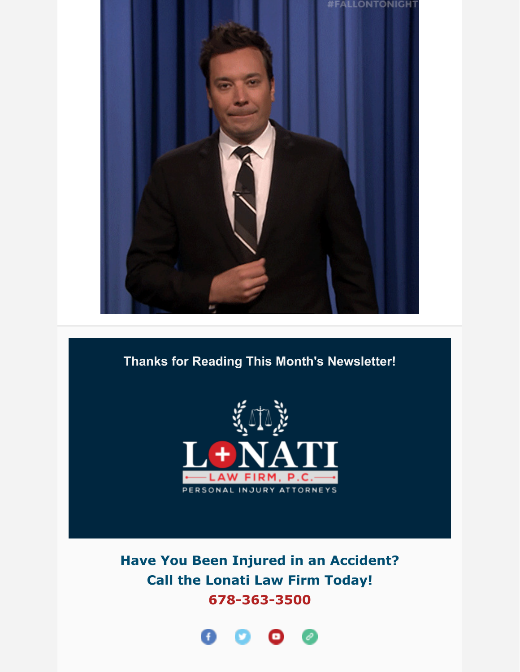

## **Thanks for Reading This Month's Newsletter!**



**Have You Been Injured in an Accident? Call the Lonati Law Firm Today! 678-363-3500**